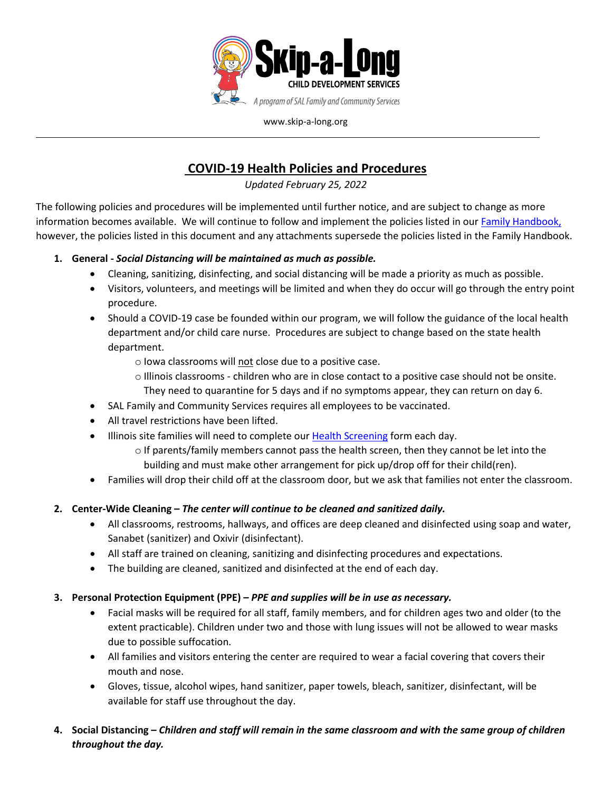

www.skip-a-long.org

# **COVID-19 Health Policies and Procedures**

*Updated February 25, 2022*

The following policies and procedures will be implemented until further notice, and are subject to change as more information becomes available. We will continue to follow and implement the policies listed in our [Family Handbook,](http://www.skip-a-long.org/download_file/320/0) however, the policies listed in this document and any attachments supersede the policies listed in the Family Handbook.

## **1. General -** *Social Distancing will be maintained as much as possible.*

- Cleaning, sanitizing, disinfecting, and social distancing will be made a priority as much as possible.
- Visitors, volunteers, and meetings will be limited and when they do occur will go through the entry point procedure.
- Should a COVID-19 case be founded within our program, we will follow the guidance of the local health department and/or child care nurse. Procedures are subject to change based on the state health department.
	- o Iowa classrooms will not close due to a positive case.
	- o Illinois classrooms children who are in close contact to a positive case should not be onsite.
	- They need to quarantine for 5 days and if no symptoms appear, they can return on day 6.
- SAL Family and Community Services requires all employees to be vaccinated.
- All travel restrictions have been lifted.
- Illinois site families will need to complete our [Health Screening](http://www.skip-a-long.org/download_file/310/0) form each day.
	- o If parents/family members cannot pass the health screen, then they cannot be let into the building and must make other arrangement for pick up/drop off for their child(ren).
- Families will drop their child off at the classroom door, but we ask that families not enter the classroom.

## **2. Center-Wide Cleaning –** *The center will continue to be cleaned and sanitized daily.*

- All classrooms, restrooms, hallways, and offices are deep cleaned and disinfected using soap and water, Sanabet (sanitizer) and Oxivir (disinfectant).
- All staff are trained on cleaning, sanitizing and disinfecting procedures and expectations.
- The building are cleaned, sanitized and disinfected at the end of each day.

### **3. Personal Protection Equipment (PPE)** *– PPE and supplies will be in use as necessary.*

- Facial masks will be required for all staff, family members, and for children ages two and older (to the extent practicable). Children under two and those with lung issues will not be allowed to wear masks due to possible suffocation.
- All families and visitors entering the center are required to wear a facial covering that covers their mouth and nose.
- Gloves, tissue, alcohol wipes, hand sanitizer, paper towels, bleach, sanitizer, disinfectant, will be available for staff use throughout the day.
- **4. Social Distancing –** *Children and staff will remain in the same classroom and with the same group of children throughout the day.*